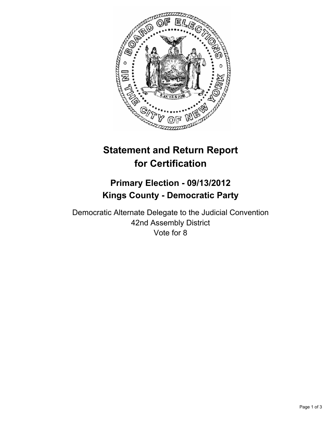

# **Statement and Return Report for Certification**

## **Primary Election - 09/13/2012 Kings County - Democratic Party**

Democratic Alternate Delegate to the Judicial Convention 42nd Assembly District Vote for 8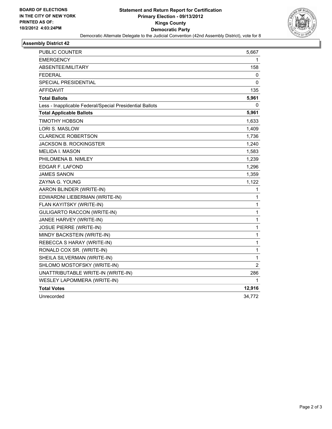

## **Assembly District 42**

| <b>PUBLIC COUNTER</b>                                    | 5,667          |
|----------------------------------------------------------|----------------|
| <b>EMERGENCY</b>                                         | 1              |
| ABSENTEE/MILITARY                                        | 158            |
| <b>FEDERAL</b>                                           | 0              |
| SPECIAL PRESIDENTIAL                                     | 0              |
| <b>AFFIDAVIT</b>                                         | 135            |
| <b>Total Ballots</b>                                     | 5,961          |
| Less - Inapplicable Federal/Special Presidential Ballots | 0              |
| <b>Total Applicable Ballots</b>                          | 5,961          |
| <b>TIMOTHY HOBSON</b>                                    | 1,633          |
| <b>LORI S. MASLOW</b>                                    | 1,409          |
| <b>CLARENCE ROBERTSON</b>                                | 1,736          |
| <b>JACKSON B. ROCKINGSTER</b>                            | 1,240          |
| <b>MELIDA I. MASON</b>                                   | 1,583          |
| PHILOMENA B. NIMLEY                                      | 1,239          |
| EDGAR F. LAFOND                                          | 1,296          |
| <b>JAMES SANON</b>                                       | 1,359          |
| ZAYNA G. YOUNG                                           | 1,122          |
| AARON BLINDER (WRITE-IN)                                 | 1              |
| EDWARDNI LIEBERMAN (WRITE-IN)                            | $\mathbf{1}$   |
| FLAN KAYITSKY (WRITE-IN)                                 | 1              |
| <b>GULIGARTO RACCON (WRITE-IN)</b>                       | 1              |
| JANEE HARVEY (WRITE-IN)                                  | 1              |
| <b>JOSUE PIERRE (WRITE-IN)</b>                           | $\mathbf{1}$   |
| MINDY BACKSTEIN (WRITE-IN)                               | 1              |
| REBECCA S HARAY (WRITE-IN)                               | $\mathbf{1}$   |
| RONALD COX SR. (WRITE-IN)                                | 1              |
| SHEILA SILVERMAN (WRITE-IN)                              | 1              |
| SHLOMO MOSTOFSKY (WRITE-IN)                              | $\overline{2}$ |
| UNATTRIBUTABLE WRITE-IN (WRITE-IN)                       | 286            |
| WESLEY LAPOMMERA (WRITE-IN)                              | 1              |
| <b>Total Votes</b>                                       | 12,916         |
| Unrecorded                                               | 34,772         |